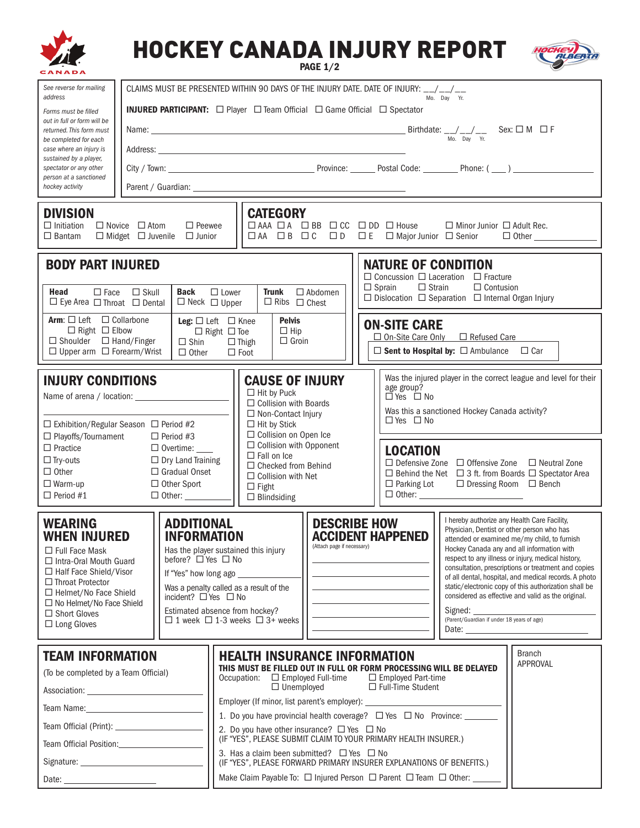|                                                                                                                                                                                                                                                                                                                                                                                                                                                                                                |                                                                                                 |                                |                                                                                                                                                                                                                                                          | <b>HOCKEY CANADA INJURY REPORT</b>                                                                                          | <b>PAGE 1/2</b>                                                                                                                 |                                                                                                                                                                      |                                                                                                                                                                                                                                                                                                                                                                                                                                                                                                                                        |                                                                                       | ALBER               |  |  |
|------------------------------------------------------------------------------------------------------------------------------------------------------------------------------------------------------------------------------------------------------------------------------------------------------------------------------------------------------------------------------------------------------------------------------------------------------------------------------------------------|-------------------------------------------------------------------------------------------------|--------------------------------|----------------------------------------------------------------------------------------------------------------------------------------------------------------------------------------------------------------------------------------------------------|-----------------------------------------------------------------------------------------------------------------------------|---------------------------------------------------------------------------------------------------------------------------------|----------------------------------------------------------------------------------------------------------------------------------------------------------------------|----------------------------------------------------------------------------------------------------------------------------------------------------------------------------------------------------------------------------------------------------------------------------------------------------------------------------------------------------------------------------------------------------------------------------------------------------------------------------------------------------------------------------------------|---------------------------------------------------------------------------------------|---------------------|--|--|
| See reverse for mailing                                                                                                                                                                                                                                                                                                                                                                                                                                                                        | CLAIMS MUST BE PRESENTED WITHIN 90 DAYS OF THE INJURY DATE. DATE OF INJURY: __/__/__            |                                |                                                                                                                                                                                                                                                          |                                                                                                                             |                                                                                                                                 |                                                                                                                                                                      |                                                                                                                                                                                                                                                                                                                                                                                                                                                                                                                                        |                                                                                       |                     |  |  |
| address<br>Forms must be filled                                                                                                                                                                                                                                                                                                                                                                                                                                                                | Mo. Day Yr.<br><b>INJURED PARTICIPANT:</b> □ Player □ Team Official □ Game Official □ Spectator |                                |                                                                                                                                                                                                                                                          |                                                                                                                             |                                                                                                                                 |                                                                                                                                                                      |                                                                                                                                                                                                                                                                                                                                                                                                                                                                                                                                        |                                                                                       |                     |  |  |
| out in full or form will be<br>returned. This form must                                                                                                                                                                                                                                                                                                                                                                                                                                        |                                                                                                 |                                |                                                                                                                                                                                                                                                          |                                                                                                                             |                                                                                                                                 |                                                                                                                                                                      |                                                                                                                                                                                                                                                                                                                                                                                                                                                                                                                                        |                                                                                       |                     |  |  |
| be completed for each<br>case where an injury is                                                                                                                                                                                                                                                                                                                                                                                                                                               | Mo. Day Yr.                                                                                     |                                |                                                                                                                                                                                                                                                          |                                                                                                                             |                                                                                                                                 |                                                                                                                                                                      |                                                                                                                                                                                                                                                                                                                                                                                                                                                                                                                                        |                                                                                       |                     |  |  |
| sustained by a player,<br>spectator or any other                                                                                                                                                                                                                                                                                                                                                                                                                                               |                                                                                                 |                                |                                                                                                                                                                                                                                                          |                                                                                                                             |                                                                                                                                 |                                                                                                                                                                      |                                                                                                                                                                                                                                                                                                                                                                                                                                                                                                                                        |                                                                                       |                     |  |  |
| person at a sanctioned<br>hockey activity                                                                                                                                                                                                                                                                                                                                                                                                                                                      |                                                                                                 |                                |                                                                                                                                                                                                                                                          |                                                                                                                             |                                                                                                                                 |                                                                                                                                                                      |                                                                                                                                                                                                                                                                                                                                                                                                                                                                                                                                        |                                                                                       |                     |  |  |
|                                                                                                                                                                                                                                                                                                                                                                                                                                                                                                |                                                                                                 |                                |                                                                                                                                                                                                                                                          |                                                                                                                             |                                                                                                                                 |                                                                                                                                                                      |                                                                                                                                                                                                                                                                                                                                                                                                                                                                                                                                        |                                                                                       |                     |  |  |
| <b>DIVISION</b><br>$\Box$ Initiation<br>$\Box$ Bantam                                                                                                                                                                                                                                                                                                                                                                                                                                          | $\Box$ Novice $\Box$ Atom<br>$\Box$ Midget $\Box$ Juvenile                                      | $\Box$ Peewee<br>$\Box$ Junior |                                                                                                                                                                                                                                                          | <b>CATEGORY</b>                                                                                                             |                                                                                                                                 |                                                                                                                                                                      | $\Box$ AAA $\Box$ A $\Box$ BB $\Box$ CC $\Box$ DD $\Box$ House                                                                                                                                                                                                                                                                                                                                                                                                                                                                         | $\Box$ Minor Junior $\Box$ Adult Rec.<br>□ AA □ B □ C □ D □ E □ Major Junior □ Senior | $\Box$ Other $\_\_$ |  |  |
| <b>BODY PART INJURED</b><br><b>NATURE OF CONDITION</b><br>$\Box$ Concussion $\Box$ Laceration $\Box$ Fracture                                                                                                                                                                                                                                                                                                                                                                                  |                                                                                                 |                                |                                                                                                                                                                                                                                                          |                                                                                                                             |                                                                                                                                 |                                                                                                                                                                      |                                                                                                                                                                                                                                                                                                                                                                                                                                                                                                                                        |                                                                                       |                     |  |  |
| $\Box$ Sprain<br>$\Box$ Strain<br>$\Box$ Contusion<br>Back<br>Head<br>$\Box$ Skull<br>$\Box$ Lower<br><b>Trunk</b><br>$\Box$ Abdomen<br>$\Box$ Face<br>$\Box$ Dislocation $\Box$ Separation $\Box$ Internal Organ Injury<br>$\Box$ Ribs $\Box$ Chest<br>$\Box$ Eye Area $\Box$ Throat $\Box$ Dental<br>$\Box$ Neck $\Box$ Upper                                                                                                                                                                |                                                                                                 |                                |                                                                                                                                                                                                                                                          |                                                                                                                             |                                                                                                                                 |                                                                                                                                                                      |                                                                                                                                                                                                                                                                                                                                                                                                                                                                                                                                        |                                                                                       |                     |  |  |
| Arm: □ Left □ Collarbone<br>$\Box$ Right $\Box$ Elbow                                                                                                                                                                                                                                                                                                                                                                                                                                          |                                                                                                 |                                |                                                                                                                                                                                                                                                          | <b>Pelvis</b><br>Leg: $\Box$ Left $\Box$ Knee<br>$\Box$ Hip<br>$\Box$ Right $\Box$ Toe                                      |                                                                                                                                 |                                                                                                                                                                      | <b>ON-SITE CARE</b><br>$\Box$ On-Site Care Only $\Box$ Refused Care                                                                                                                                                                                                                                                                                                                                                                                                                                                                    |                                                                                       |                     |  |  |
| $\Box$ Shoulder $\Box$ Hand/Finger<br>$\Box$ Groin<br>$\Box$ Shin<br>$\Box$ Thigh<br>$\Box$ Sent to Hospital by: $\Box$ Ambulance $\Box$ Car<br>$\Box$ Upper arm $\Box$ Forearm/Wrist<br>$\Box$ Other<br>$\Box$ Foot                                                                                                                                                                                                                                                                           |                                                                                                 |                                |                                                                                                                                                                                                                                                          |                                                                                                                             |                                                                                                                                 |                                                                                                                                                                      |                                                                                                                                                                                                                                                                                                                                                                                                                                                                                                                                        |                                                                                       |                     |  |  |
| <b>INJURY CONDITIONS</b><br>$\Box$ Exhibition/Regular Season $\Box$ Period #2<br>□ Playoffs/Tournament<br>$\Box$ Period #3<br>$\Box$ Practice<br>$\Box$ Overtime: $\_\_$<br>$\Box$ Try-outs<br>$\Box$ Dry Land Training<br>$\Box$ Other<br>□ Gradual Onset<br>$\Box$ Warm-up<br>$\Box$ Other Sport<br>$\Box$ Period #1                                                                                                                                                                         |                                                                                                 |                                |                                                                                                                                                                                                                                                          | <b>CAUSE OF INJURY</b><br>$\Box$ Hit by Puck<br>$\Box$ Collision with Boards<br>□ Non-Contact Injury<br>$\Box$ Hit by Stick |                                                                                                                                 | Was the injured player in the correct league and level for their<br>age group?<br>DYes D No<br>Was this a sanctioned Hockey Canada activity?<br>$\Box$ Yes $\Box$ No |                                                                                                                                                                                                                                                                                                                                                                                                                                                                                                                                        |                                                                                       |                     |  |  |
|                                                                                                                                                                                                                                                                                                                                                                                                                                                                                                |                                                                                                 |                                | $\Box$ Collision on Open Ice<br>□ Collision with Opponent<br>$\Box$ Fall on Ice<br>$\Box$ Checked from Behind<br>$\Box$ Collision with Net<br>$\Box$ Fight<br>$\Box$ Blindsiding                                                                         |                                                                                                                             |                                                                                                                                 |                                                                                                                                                                      | <b>LOCATION</b><br>$\Box$ Defensive Zone $\Box$ Offensive Zone $\Box$ Neutral Zone<br>$\Box$ Behind the Net $\Box$ 3 ft. from Boards $\Box$ Spectator Area<br>$\Box$ Parking Lot<br>$\Box$ Dressing Room $\Box$ Bench                                                                                                                                                                                                                                                                                                                  |                                                                                       |                     |  |  |
| <b>WEARING</b><br><b>ADDITIONAL</b><br><b>WHEN INJURED</b><br><b>INFORMATION</b><br>Has the player sustained this injury<br>$\Box$ Full Face Mask<br>before? □ Yes □ No<br>$\Box$ Intra-Oral Mouth Guard<br>$\Box$ Half Face Shield/Visor<br>□ Throat Protector<br>Was a penalty called as a result of the<br>$\Box$ Helmet/No Face Shield<br>incident? $\Box$ Yes $\Box$ No<br>$\Box$ No Helmet/No Face Shield<br>Estimated absence from hockey?<br>$\Box$ Short Gloves<br>$\Box$ Long Gloves |                                                                                                 |                                |                                                                                                                                                                                                                                                          | $\Box$ 1 week $\Box$ 1-3 weeks $\Box$ 3+ weeks                                                                              | <b>DESCRIBE HOW</b><br><b>ACCIDENT HAPPENED</b><br>(Attach page if necessary)<br><u>and the state of the state of the state</u> |                                                                                                                                                                      | I hereby authorize any Health Care Facility,<br>Physician, Dentist or other person who has<br>attended or examined me/my child, to furnish<br>Hockey Canada any and all information with<br>respect to any illness or injury, medical history,<br>consultation, prescriptions or treatment and copies<br>of all dental, hospital, and medical records. A photo<br>static/electronic copy of this authorization shall be<br>considered as effective and valid as the original.<br>Signed:<br>(Parent/Guardian if under 18 years of age) |                                                                                       |                     |  |  |
| <b>TEAM INFORMATION</b><br>(To be completed by a Team Official)                                                                                                                                                                                                                                                                                                                                                                                                                                |                                                                                                 |                                | <b>Branch</b><br><b>HEALTH INSURANCE INFORMATION</b><br>APPROVAL<br>THIS MUST BE FILLED OUT IN FULL OR FORM PROCESSING WILL BE DELAYED<br>Occupation:<br>$\Box$ Employed Full-time $\Box$ Employed Part-time<br>$\Box$ Unemployed<br>□ Full-Time Student |                                                                                                                             |                                                                                                                                 |                                                                                                                                                                      |                                                                                                                                                                                                                                                                                                                                                                                                                                                                                                                                        |                                                                                       |                     |  |  |
| Team Name: The Contract of the Contract of the Contract of the Contract of the Contract of the Contract of the                                                                                                                                                                                                                                                                                                                                                                                 |                                                                                                 |                                | Employer (If minor, list parent's employer): ___________________________________                                                                                                                                                                         |                                                                                                                             |                                                                                                                                 |                                                                                                                                                                      |                                                                                                                                                                                                                                                                                                                                                                                                                                                                                                                                        |                                                                                       |                     |  |  |
|                                                                                                                                                                                                                                                                                                                                                                                                                                                                                                |                                                                                                 |                                | 1. Do you have provincial health coverage? $\Box$ Yes $\Box$ No Province: _______                                                                                                                                                                        |                                                                                                                             |                                                                                                                                 |                                                                                                                                                                      |                                                                                                                                                                                                                                                                                                                                                                                                                                                                                                                                        |                                                                                       |                     |  |  |
| Team Official Position: The Contract of Team Official Position:                                                                                                                                                                                                                                                                                                                                                                                                                                |                                                                                                 |                                | 2. Do you have other insurance? $\Box$ Yes $\Box$ No<br>(IF "YES", PLEASE SUBMIT CLAIM TO YOUR PRIMARY HEALTH INSURER.)                                                                                                                                  |                                                                                                                             |                                                                                                                                 |                                                                                                                                                                      |                                                                                                                                                                                                                                                                                                                                                                                                                                                                                                                                        |                                                                                       |                     |  |  |
|                                                                                                                                                                                                                                                                                                                                                                                                                                                                                                |                                                                                                 |                                | 3. Has a claim been submitted? $\Box$ Yes $\Box$ No<br>(IF "YES", PLEASE FORWARD PRIMARY INSURER EXPLANATIONS OF BENEFITS.)                                                                                                                              |                                                                                                                             |                                                                                                                                 |                                                                                                                                                                      |                                                                                                                                                                                                                                                                                                                                                                                                                                                                                                                                        |                                                                                       |                     |  |  |
| Date:                                                                                                                                                                                                                                                                                                                                                                                                                                                                                          |                                                                                                 |                                | Make Claim Payable To: □ Injured Person □ Parent □ Team □ Other: __                                                                                                                                                                                      |                                                                                                                             |                                                                                                                                 |                                                                                                                                                                      |                                                                                                                                                                                                                                                                                                                                                                                                                                                                                                                                        |                                                                                       |                     |  |  |